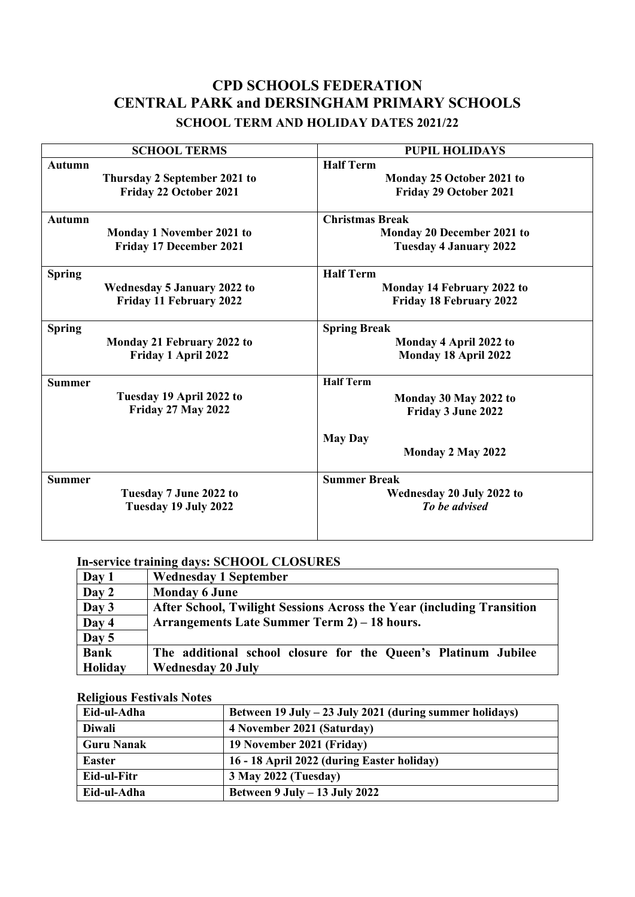# **CPD SCHOOLS FEDERATION CENTRAL PARK and DERSINGHAM PRIMARY SCHOOLS SCHOOL TERM AND HOLIDAY DATES 2021/22**

| <b>SCHOOL TERMS</b>                | <b>PUPIL HOLIDAYS</b>          |
|------------------------------------|--------------------------------|
| <b>Autumn</b>                      | <b>Half Term</b>               |
| Thursday 2 September 2021 to       | Monday 25 October 2021 to      |
| Friday 22 October 2021             | Friday 29 October 2021         |
| <b>Autumn</b>                      | <b>Christmas Break</b>         |
| Monday 1 November 2021 to          | Monday 20 December 2021 to     |
| Friday 17 December 2021            | <b>Tuesday 4 January 2022</b>  |
| <b>Spring</b>                      | <b>Half Term</b>               |
| <b>Wednesday 5 January 2022 to</b> | Monday 14 February 2022 to     |
| Friday 11 February 2022            | <b>Friday 18 February 2022</b> |
| <b>Spring</b>                      | <b>Spring Break</b>            |
| Monday 21 February 2022 to         | Monday 4 April 2022 to         |
| Friday 1 April 2022                | Monday 18 April 2022           |
| <b>Summer</b>                      | <b>Half Term</b>               |
| Tuesday 19 April 2022 to           | Monday 30 May 2022 to          |
| <b>Friday 27 May 2022</b>          | Friday 3 June 2022             |
|                                    | <b>May Day</b>                 |
|                                    | Monday 2 May 2022              |
| <b>Summer</b>                      | <b>Summer Break</b>            |
| Tuesday 7 June 2022 to             | Wednesday 20 July 2022 to      |
| Tuesday 19 July 2022               | To be advised                  |
|                                    |                                |

## **In-service training days: SCHOOL CLOSURES**

| Day 1              | <b>Wednesday 1 September</b>                                          |
|--------------------|-----------------------------------------------------------------------|
| Day 2              | <b>Monday 6 June</b>                                                  |
| Day 3              | After School, Twilight Sessions Across the Year (including Transition |
| Day 4              | Arrangements Late Summer Term 2) – 18 hours.                          |
| $\overline{Day 5}$ |                                                                       |
| <b>Bank</b>        | The additional school closure for the Queen's Platinum Jubilee        |
| Holiday            | <b>Wednesday 20 July</b>                                              |

#### **Religious Festivals Notes**

| Eid-ul-Adha       | Between 19 July – 23 July 2021 (during summer holidays) |
|-------------------|---------------------------------------------------------|
| Diwali            | 4 November 2021 (Saturday)                              |
| <b>Guru Nanak</b> | 19 November 2021 (Friday)                               |
| <b>Easter</b>     | 16 - 18 April 2022 (during Easter holiday)              |
| Eid-ul-Fitr       | 3 May 2022 (Tuesday)                                    |
| Eid-ul-Adha       | Between $9$ July $- 13$ July 2022                       |